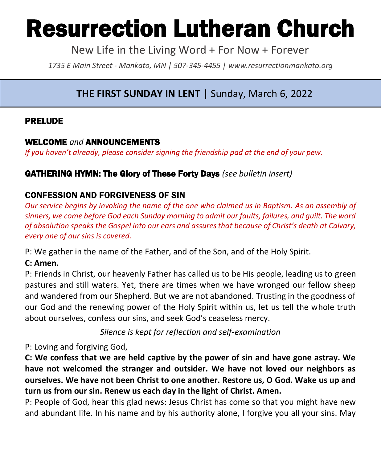# Resurrection Lutheran Church

New Life in the Living Word + For Now + Forever

*1735 E Main Street - Mankato, MN | 507-345-4455 | [www.resurrectionmankato.org](http://www.resurrectionmankato.org/)*

#### *\_\_\_\_\_\_\_\_\_\_\_\_\_\_\_\_\_\_\_\_\_\_\_\_\_\_\_\_\_\_\_\_\_\_\_\_\_\_\_\_\_\_\_\_\_\_\_\_\_\_\_\_\_\_\_\_\_\_\_\_\_\_\_\_\_\_\_\_\_\_\_\_\_\_\_\_\_\_\_ \_\_\_\_\_\_\_\_\_\_\_\_\_\_\_\_\_\_\_\_\_\_\_\_\_\_\_\_\_\_\_\_\_\_\_\_\_\_\_\_\_\_\_\_\_\_\_\_\_\_\_\_\_\_\_\_\_\_\_\_\_\_\_\_\_\_\_\_\_\_\_\_\_\_\_\_\_\_\_* **THE FIRST SUNDAY IN LENT** | Sunday, March 6, 2022

#### PRELUDE

#### WELCOME *and* ANNOUNCEMENTS

*If you haven't already, please consider signing the friendship pad at the end of your pew.* 

## GATHERING HYMN: The Glory of These Forty Days *(see bulletin insert)*

## CONFESSION AND FORGIVENESS OF SIN

*Our service begins by invoking the name of the one who claimed us in Baptism. As an assembly of sinners, we come before God each Sunday morning to admit our faults, failures, and guilt. The word of absolution speaks the Gospel into our ears and assures that because of Christ's death at Calvary, every one of our sins is covered.* 

P: We gather in the name of the Father, and of the Son, and of the Holy Spirit.

#### **C: Amen.**

P: Friends in Christ, our heavenly Father has called us to be His people, leading us to green pastures and still waters. Yet, there are times when we have wronged our fellow sheep and wandered from our Shepherd. But we are not abandoned. Trusting in the goodness of our God and the renewing power of the Holy Spirit within us, let us tell the whole truth about ourselves, confess our sins, and seek God's ceaseless mercy.

*Silence is kept for reflection and self-examination*

P: Loving and forgiving God,

**C: We confess that we are held captive by the power of sin and have gone astray. We have not welcomed the stranger and outsider. We have not loved our neighbors as ourselves. We have not been Christ to one another. Restore us, O God. Wake us up and turn us from our sin. Renew us each day in the light of Christ. Amen.**

P: People of God, hear this glad news: Jesus Christ has come so that you might have new and abundant life. In his name and by his authority alone, I forgive you all your sins. May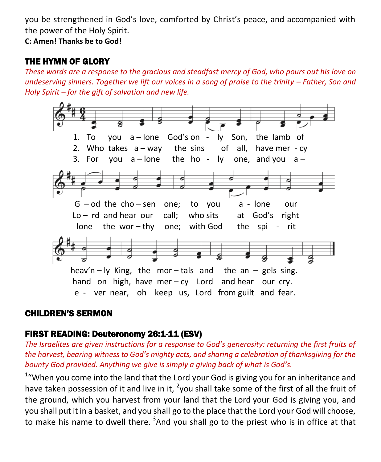you be strengthened in God's love, comforted by Christ's peace, and accompanied with the power of the Holy Spirit.

**C: Amen! Thanks be to God!**

## THE HYMN OF GLORY

*These words are a response to the gracious and steadfast mercy of God, who pours out his love on undeserving sinners. Together we lift our voices in a song of praise to the trinity – Father, Son and Holy Spirit – for the gift of salvation and new life.* 



#### CHILDREN'S SERMON

## FIRST READING: Deuteronomy 26:1-11 (ESV)

*The Israelites are given instructions for a response to God's generosity: returning the first fruits of the harvest, bearing witness to God's mighty acts, and sharing a celebration of thanksgiving for the bounty God provided. Anything we give is simply a giving back of what is God's.* 

 $1^{\prime\prime}$ When you come into the land that the Lord your God is giving you for an inheritance and have taken possession of it and live in it,  $\frac{2}{1}$ you shall take some of the first of all the fruit of the ground, which you harvest from your land that the Lord your God is giving you, and you shall put it in a basket, and you shall go to the place that the Lord your God will choose, to make his name to dwell there. <sup>3</sup>And you shall go to the priest who is in office at that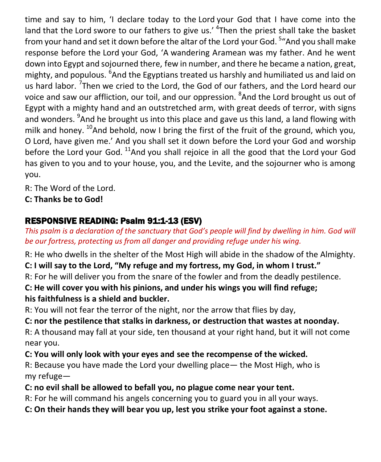time and say to him, 'I declare today to the Lord your God that I have come into the land that the Lord swore to our fathers to give us.' <sup>4</sup>Then the priest shall take the basket from your hand and set it down before the altar of the Lord your God. <sup>5</sup>"And you shall make response before the Lord your God, 'A wandering Aramean was my father. And he went down into Egypt and sojourned there, few in number, and there he became a nation, great, mighty, and populous. <sup>6</sup>And the Egyptians treated us harshly and humiliated us and laid on us hard labor. <sup>7</sup>Then we cried to the Lord, the God of our fathers, and the Lord heard our voice and saw our affliction, our toil, and our oppression. <sup>8</sup>And the Lord brought us out of Egypt with a mighty hand and an outstretched arm, with great deeds of terror, with signs and wonders. <sup>9</sup>And he brought us into this place and gave us this land, a land flowing with milk and honey.  $^{10}$ And behold, now I bring the first of the fruit of the ground, which you, O Lord, have given me.' And you shall set it down before the Lord your God and worship before the Lord your God. <sup>11</sup>And you shall rejoice in all the good that the Lord your God has given to you and to your house, you, and the Levite, and the sojourner who is among you.

R: The Word of the Lord.

**C: Thanks be to God!** 

## RESPONSIVE READING: Psalm 91:1-13 (ESV)

#### *This psalm is a declaration of the sanctuary that God's people will find by dwelling in him. God will be our fortress, protecting us from all danger and providing refuge under his wing.*

R: He who dwells in the shelter of the Most High will abide in the shadow of the Almighty. **C: I will say to the Lord, "My refuge and my fortress, my God, in whom I trust."**

R: For he will deliver you from the snare of the fowler and from the deadly pestilence.

## **C: He will cover you with his pinions, and under his wings you will find refuge; his faithfulness is a shield and buckler.**

R: You will not fear the terror of the night, nor the arrow that flies by day,

## **C: nor the pestilence that stalks in darkness, or destruction that wastes at noonday.**

R: A thousand may fall at your side, ten thousand at your right hand, but it will not come near you.

#### **C: You will only look with your eyes and see the recompense of the wicked.**

R: Because you have made the Lord your dwelling place— the Most High, who is my refuge—

#### **C: no evil shall be allowed to befall you, no plague come near your tent.**

R: For he will command his angels concerning you to guard you in all your ways.

**C: On their hands they will bear you up, lest you strike your foot against a stone.**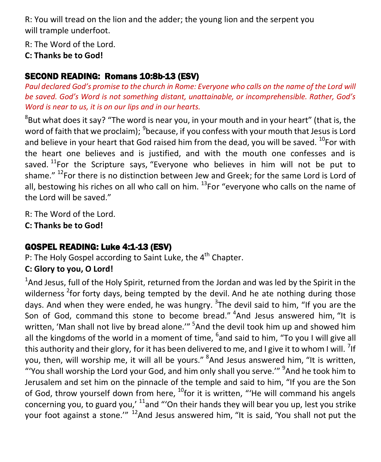R: You will tread on the lion and the adder; the young lion and the serpent you will trample underfoot.

R: The Word of the Lord.

**C: Thanks be to God!** 

## SECOND READING: Romans 10:8b-13 (ESV)

Paul declared God's promise to the church in Rome: Everyone who calls on the name of the Lord will *be saved. God's Word is not something distant, unattainable, or incomprehensible. Rather, God's Word is near to us, it is on our lips and in our hearts.* 

 ${}^{8}$ But what does it say? "The word is near you, in your mouth and in your heart" (that is, the word of faith that we proclaim); <sup>9</sup>because, if you confess with your mouth that Jesus is Lord and believe in your heart that God raised him from the dead, you will be saved.  $^{10}$ For with the heart one believes and is justified, and with the mouth one confesses and is saved.  $^{11}$ For the Scripture says, "Everyone who believes in him will not be put to shame."  $^{12}$ For there is no distinction between Jew and Greek; for the same Lord is Lord of all, bestowing his riches on all who call on him.  $^{13}$ For "everyone who calls on the name of the Lord will be saved."

R: The Word of the Lord.

**C: Thanks be to God!** 

## GOSPEL READING: Luke 4:1-13 (ESV)

P: The Holy Gospel according to Saint Luke, the 4<sup>th</sup> Chapter.

## **C: Glory to you, O Lord!**

 $^1$ And Jesus, full of the Holy Spirit, returned from the Jordan and was led by the Spirit in the wilderness <sup>2</sup>for forty days, being tempted by the devil. And he ate nothing during those days. And when they were ended, he was hungry. <sup>3</sup>The devil said to him, "If you are the Son of God, command this stone to become bread." <sup>4</sup>And Jesus answered him, "It is written, 'Man shall not live by bread alone.'" <sup>5</sup>And the devil took him up and showed him all the kingdoms of the world in a moment of time, <sup>6</sup>and said to him, "To you I will give all this authority and their glory, for it has been delivered to me, and I give it to whom I will.  $^7$ If you, then, will worship me, it will all be yours." <sup>8</sup>And Jesus answered him, "It is written, "'You shall worship the Lord your God, and him only shall you serve.'" <sup>9</sup>And he took him to Jerusalem and set him on the pinnacle of the temple and said to him, "If you are the Son of God, throw yourself down from here,  $^{10}$ for it is written, "He will command his angels concerning you, to guard you,'  $11$  and "'On their hands they will bear you up, lest you strike your foot against a stone." <sup>12</sup>And Jesus answered him, "It is said, 'You shall not put the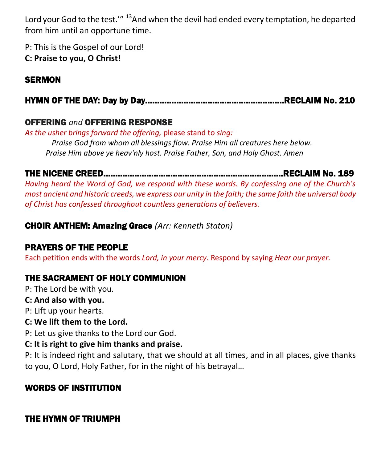Lord your God to the test." <sup>13</sup>And when the devil had ended every temptation, he departed from him until an opportune time.

P: This is the Gospel of our Lord!

**C: Praise to you, O Christ!** 

## **SERMON**

## HYMN OF THE DAY: Day by Day………………………………………………….RECLAIM No. 210

## OFFERING *and* OFFERING RESPONSE

*As the usher brings forward the offering,* please stand to *sing: Praise God from whom all blessings flow. Praise Him all creatures here below. Praise Him above ye heav'nly host. Praise Father, Son, and Holy Ghost. Amen*

## THE NICENE CREED…………………………………………………………………RECLAIM No. 189

*Having heard the Word of God, we respond with these words. By confessing one of the Church's most ancient and historic creeds, we express our unity in the faith; the same faith the universal body of Christ has confessed throughout countless generations of believers.* 

## CHOIR ANTHEM: Amazing Grace *(Arr: Kenneth Staton)*

## PRAYERS OF THE PEOPLE

Each petition ends with the words *Lord, in your mercy*. Respond by saying *Hear our prayer.*

## THE SACRAMENT OF HOLY COMMUNION

P: The Lord be with you.

#### **C: And also with you.**

P: Lift up your hearts.

**C: We lift them to the Lord.**

P: Let us give thanks to the Lord our God.

## **C: It is right to give him thanks and praise.**

P: It is indeed right and salutary, that we should at all times, and in all places, give thanks to you, O Lord, Holy Father, for in the night of his betrayal…

## WORDS OF INSTITUTION

## THE HYMN OF TRIUMPH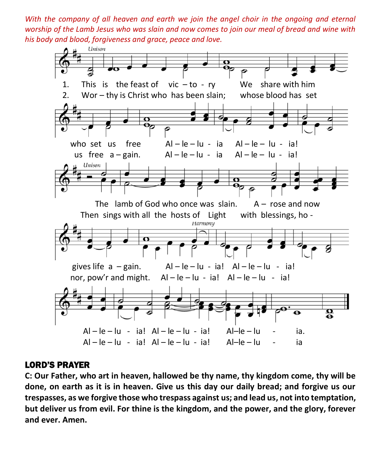*With the company of all heaven and earth we join the angel choir in the ongoing and eternal worship of the Lamb Jesus who was slain and now comes to join our meal of bread and wine with his body and blood, forgiveness and grace, peace and love.* 



#### LORD'S PRAYER

**C: Our Father, who art in heaven, hallowed be thy name, thy kingdom come, thy will be done, on earth as it is in heaven. Give us this day our daily bread; and forgive us our trespasses, as we forgive those who trespass against us; and lead us, not into temptation, but deliver us from evil. For thine is the kingdom, and the power, and the glory, forever and ever. Amen.**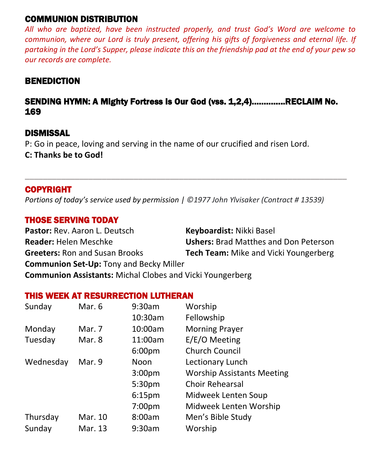#### COMMUNION DISTRIBUTION

*All who are baptized, have been instructed properly, and trust God's Word are welcome to communion, where our Lord is truly present, offering his gifts of forgiveness and eternal life. If partaking in the Lord's Supper, please indicate this on the friendship pad at the end of your pew so our records are complete.*

#### BENEDICTION

#### SENDING HYMN: A Mighty Fortress Is Our God (vss. 1,2,4)…………..RECLAIM No. 169

#### DISMISSAL

P: Go in peace, loving and serving in the name of our crucified and risen Lord.

**C: Thanks be to God!**

#### COPYRIGHT

*Portions of today's service used by permission | ©1977 John Ylvisaker (Contract # 13539)*

\_\_\_\_\_\_\_\_\_\_\_\_\_\_\_\_\_\_\_\_\_\_\_\_\_\_\_\_\_\_\_\_\_\_\_\_\_\_\_\_\_\_\_\_\_\_\_\_\_\_\_\_\_\_\_\_\_\_\_\_\_\_\_\_\_\_\_\_\_\_\_

#### THOSE SERVING TODAY

Pastor: Rev. Aaron L. Deutsch **Keyboardist:** Nikki Basel **Reader:** Helen Meschke **Ushers:** Brad Matthes and Don Peterson **Greeters:** Ron and Susan Brooks **Tech Team:** Mike and Vicki Youngerberg **Communion Set-Up:** Tony and Becky Miller **Communion Assistants:** Michal Clobes and Vicki Youngerberg

#### THIS WEEK AT RESURRECTION LUTHERAN

| Sunday    | Mar. 6  | 9:30am             | Worship                           |
|-----------|---------|--------------------|-----------------------------------|
|           |         | 10:30am            | Fellowship                        |
| Monday    | Mar. 7  | 10:00am            | <b>Morning Prayer</b>             |
| Tuesday   | Mar. 8  | 11:00am            | E/E/O Meeting                     |
|           |         | 6:00pm             | <b>Church Council</b>             |
| Wednesday | Mar. 9  | Noon               | Lectionary Lunch                  |
|           |         | 3:00 <sub>pm</sub> | <b>Worship Assistants Meeting</b> |
|           |         | 5:30pm             | <b>Choir Rehearsal</b>            |
|           |         | 6:15 <sub>pm</sub> | Midweek Lenten Soup               |
|           |         | 7:00pm             | Midweek Lenten Worship            |
| Thursday  | Mar. 10 | 8:00am             | Men's Bible Study                 |
| Sunday    | Mar. 13 | 9:30am             | Worship                           |